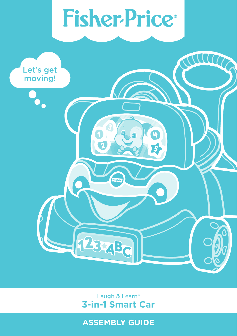# **Fisher-Price®**



Laugh & Learn® **3-in-1 Smart Car**

**ASSEMBLY GUIDE**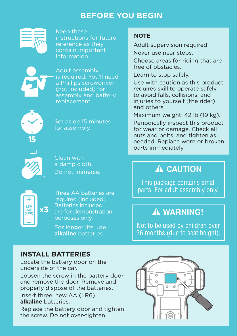#### **BEFORE YOU BEGIN**



Keep these instructions for future reference as they contain important information.



Adult assembly is required. You'll need a Phillips screwdriver (not included) for assembly and battery replacement.



Set aside 15 minutes for assembly.



Clean with a damp cloth. Do not immerse.



Three AA batteries are required (included). Batteries included are for demonstration purposes only.

For longer life, use **alkaline** batteries.

#### **NOTE**

Adult supervision required.

Never use near steps.

Choose areas for riding that are free of obstacles.

Learn to stop safely.

Use with caution as this product requires skill to operate safely to avoid falls, collisions, and injuries to yourself (the rider) and others.

Maximum weight: 42 lb (19 kg). Periodically inspect this product for wear or damage. Check all nuts and bolts, and tighten as needed. Replace worn or broken parts immediately.

# **CAUTION**

This package contains small parts. For adult assembly only.

# **WARNING!**

Not to be used by children over 36 months (due to seat height).

#### **INSTALL BATTERIES**

Locate the battery door on the underside of the car.

Loosen the screw in the battery door and remove the door. Remove and properly dispose of the batteries.

Insert three, new AA (LR6) **alkaline** batteries.

Replace the battery door and tighten the screw. Do not over-tighten.

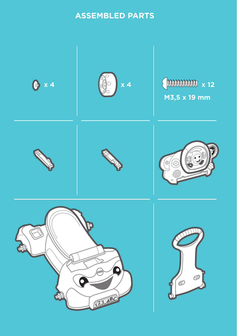#### **ASSEMBLED PARTS**

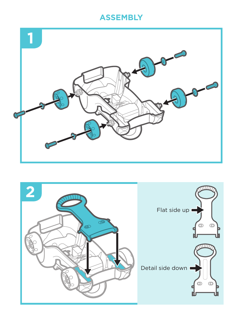#### **ASSEMBLY**



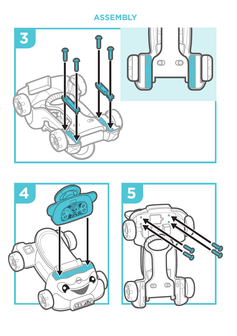## **ASSEMBLY**





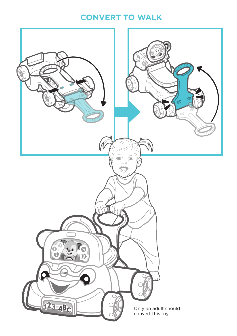#### **CONVERT TO WALK**

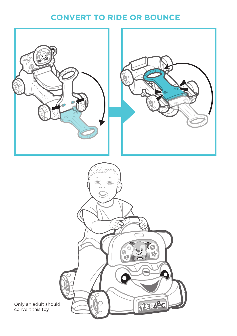#### **CONVERT TO RIDE OR BOUNCE**

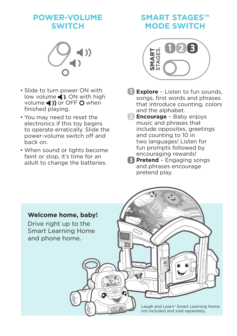#### **POWER-VOLUME SWITCH**



- Slide to turn power ON with low volume  $\triangleleft$  ), ON with high volume () or OFF O when finished playing.
- You may need to reset the electronics if this toy begins to operate erratically. Slide the power-volume switch off and back on.
- When sound or lights become faint or stop, it's time for an adult to change the batteries.

## **SMART STAGES™ MODE SWITCH**



- **Explore** Listen to fun sounds, songs, first words and phrases that introduce counting, colors and the alphabet.
- **2** Encourage Baby enjoys music and phrases that include opposites, greetings and counting to 10 in two languages! Listen for fun prompts followed by encouraging rewards!
- **B** Pretend Engaging songs and phrases encourage pretend play.

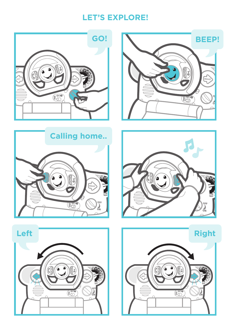#### **LET'S EXPLORE!**





**Calling home..**  $\mathbb{R}$ **HOP** ್ಲಿ





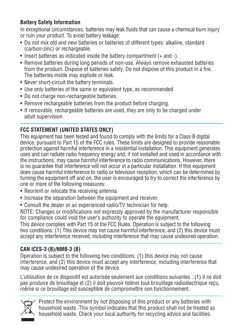#### **Battery Safety Information**

In exceptional circumstances, batteries may leak fluids that can cause a chemical burn injury or ruin your product. To avoid battery leakage:

- Do not mix old and new batteries or batteries of different types: alkaline, standard (carbon-zinc) or rechargeable.
- Insert batteries as indicated inside the battery compartment (+ and -).
- Remove batteries during long periods of non-use. Always remove exhausted batteries from the product. Dispose of batteries safely. Do not dispose of this product in a fire. The batteries inside may explode or leak.
- Never short-circuit the battery terminals.
- Use only batteries of the same or equivalent type, as recommended.
- Do not charge non-rechargeable batteries.
- Remove rechargeable batteries from the product before charging.
- If removable, rechargeable batteries are used, they are only to be charged under adult supervision.

#### **FCC STATEMENT (UNITED STATES ONLY)**

This equipment has been tested and found to comply with the limits for a Class B digital device, pursuant to Part 15 of the FCC rules. These limits are designed to provide reasonable protection against harmful interference in a residential installation. This equipment generates uses and can radiate radio frequency energy and, if not installed and used in accordance with the instructions, may cause harmful interference to radio communications. However, there is no guarantee that interference will not occur in a particular installation. If this equipment does cause harmful interference to radio or television reception, which can be determined by turning the equipment off and on, the user is encouraged to try to correct the interference by one or more of the following measures:

- Reorient or relocate the receiving antenna.
- Increase the separation between the equipment and receiver.
- Consult the dealer or an experienced radio/TV technician for help.

NOTE: Changes or modifications not expressly approved by the manufacturer responsible for compliance could void the user's authority to operate the equipment.

This device complies with Part 15 of the FCC Rules. Operation is subject to the following two conditions: (1) This device may not cause harmful interference, and (2) this device must accept any interference received, including interference that may cause undesired operation.

#### **CAN ICES-3 (B)/NMB-3 (B)**

Operation is subject to the following two conditions: (1) this device may not cause interference, and (2) this device must accept any interference, including interference that may cause undesired operation of the device.

L'utilisation de ce dispositif est autorisée seulement aux conditions suivantes : (1) il ne doit pas produire de brouillage et (2) il doit pouvoir tolérer tout brouillage radioélectrique reçu, même si ce brouillage est susceptible de compromettre son fonctionnement.



Protect the environment by not disposing of this product or any batteries with household waste. This symbol indicates that this product shall not be treated as household waste. Check your local authority for recycling advice and facilities.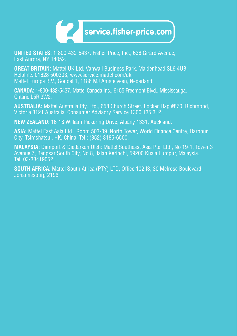

**UNITED STATES:** 1-800-432-5437. Fisher-Price, Inc., 636 Girard Avenue, East Aurora, NY 14052.

**GREAT BRITAIN:** Mattel UK Ltd, Vanwall Business Park, Maidenhead SL6 4UB. Helpline: 01628 500303; www.service.mattel.com/uk. Mattel Europa B.V., Gondel 1, 1186 MJ Amstelveen, Nederland.

**CANADA:** 1-800-432-5437. Mattel Canada Inc., 6155 Freemont Blvd., Mississauga, Ontario L5R 3W2.

**AUSTRALIA:** Mattel Australia Pty. Ltd., 658 Church Street, Locked Bag #870, Richmond, Victoria 3121 Australia. Consumer Advisory Service 1300 135 312.

**NEW ZEALAND:** 16-18 William Pickering Drive, Albany 1331, Auckland.

**ASIA:** Mattel East Asia Ltd., Room 503-09, North Tower, World Finance Centre, Harbour City, Tsimshatsui, HK, China. Tel.: (852) 3185-6500.

**MALAYSIA:** Diimport & Diedarkan Oleh: Mattel Southeast Asia Pte. Ltd., No 19-1, Tower 3 Avenue 7, Bangsar South City, No 8, Jalan Kerinchi, 59200 Kuala Lumpur, Malaysia. Tel: 03-33419052.

**SOUTH AFRICA:** Mattel South Africa (PTY) LTD, Office 102 I3, 30 Melrose Boulevard, Johannesburg 2196.